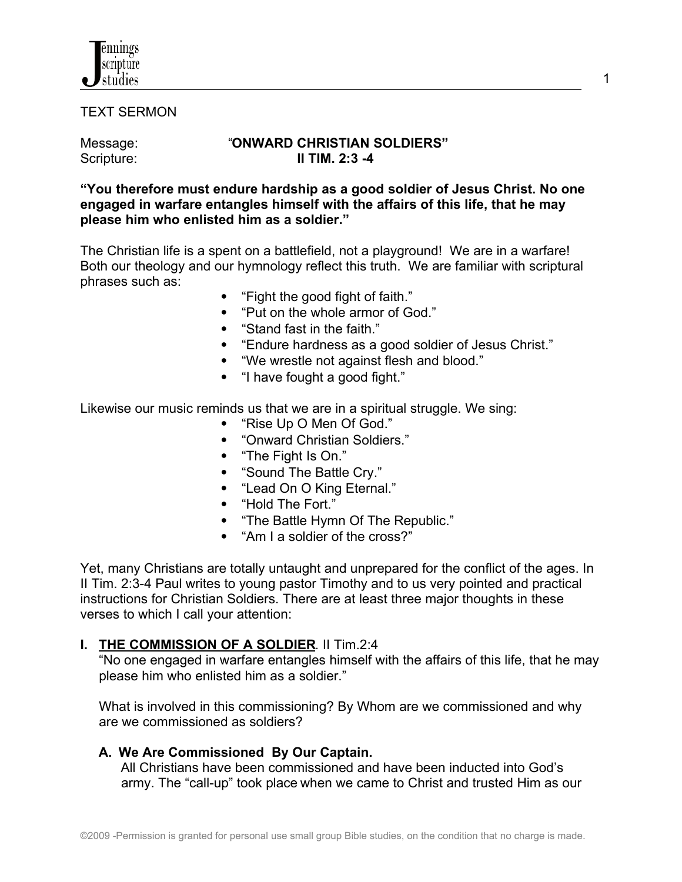

TEXT SERMON

### Message: "ONWARD CHRISTIAN SOLDIERS"<br>Scripture: II TIM. 2:3 -4 Scripture: **II TIM. 2:3 -4**

**"You therefore must endure hardship as a good soldier of Jesus Christ. No one engaged in warfare entangles himself with the affairs of this life, that he may please him who enlisted him as a soldier."**

The Christian life is a spent on a battlefield, not a playground! We are in a warfare! Both our theology and our hymnology reflect this truth. We are familiar with scriptural phrases such as:

- "Fight the good fight of faith."
- "Put on the whole armor of God."
- "Stand fast in the faith."
- "Endure hardness as a good soldier of Jesus Christ."
- "We wrestle not against flesh and blood."
- "I have fought a good fight."

Likewise our music reminds us that we are in a spiritual struggle. We sing:

- "Rise Up O Men Of God."
- "Onward Christian Soldiers."
- "The Fight Is On."
- "Sound The Battle Cry."
- "Lead On O King Eternal."
- "Hold The Fort."
- "The Battle Hymn Of The Republic."
- "Am I a soldier of the cross?"

Yet, many Christians are totally untaught and unprepared for the conflict of the ages. In II Tim. 2:3-4 Paul writes to young pastor Timothy and to us very pointed and practical instructions for Christian Soldiers. There are at least three major thoughts in these verses to which I call your attention:

### **I. THE COMMISSION OF A SOLDIER**. II Tim.2:4

 "No one engaged in warfare entangles himself with the affairs of this life, that he may please him who enlisted him as a soldier."

 What is involved in this commissioning? By Whom are we commissioned and why are we commissioned as soldiers?

# **A. We Are Commissioned By Our Captain.**

All Christians have been commissioned and have been inducted into God's army. The "call-up" took place when we came to Christ and trusted Him as our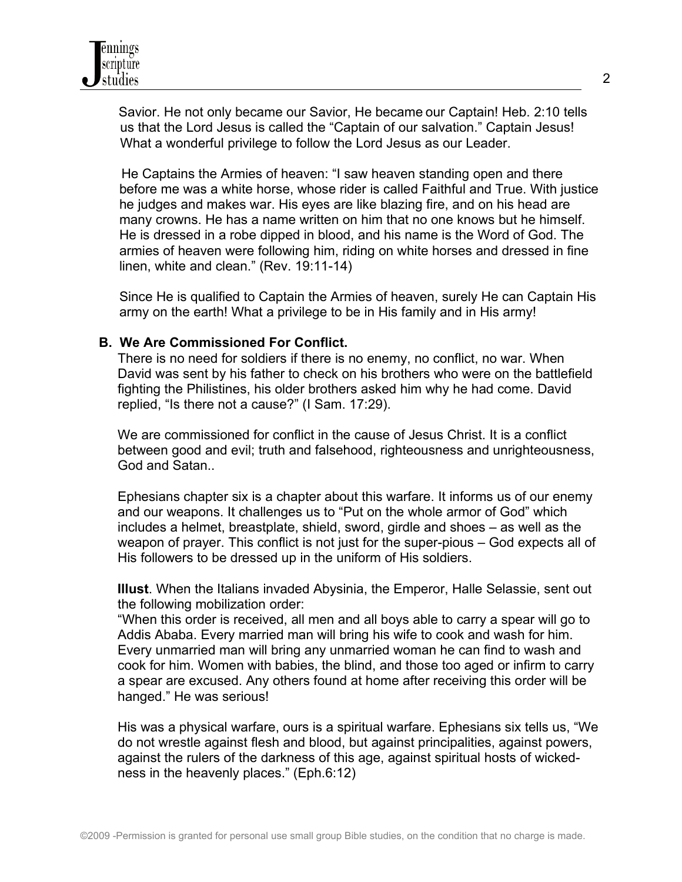

 Savior. He not only became our Savior, He became our Captain! Heb. 2:10 tells us that the Lord Jesus is called the "Captain of our salvation." Captain Jesus! What a wonderful privilege to follow the Lord Jesus as our Leader.

 He Captains the Armies of heaven: "I saw heaven standing open and there before me was a white horse, whose rider is called Faithful and True. With justice he judges and makes war. His eyes are like blazing fire, and on his head are many crowns. He has a name written on him that no one knows but he himself. He is dressed in a robe dipped in blood, and his name is the Word of God. The armies of heaven were following him, riding on white horses and dressed in fine linen, white and clean." (Rev. 19:11-14)

Since He is qualified to Captain the Armies of heaven, surely He can Captain His army on the earth! What a privilege to be in His family and in His army!

#### **B. We Are Commissioned For Conflict.**

 There is no need for soldiers if there is no enemy, no conflict, no war. When David was sent by his father to check on his brothers who were on the battlefield fighting the Philistines, his older brothers asked him why he had come. David replied, "Is there not a cause?" (I Sam. 17:29).

 We are commissioned for conflict in the cause of Jesus Christ. It is a conflict between good and evil; truth and falsehood, righteousness and unrighteousness, God and Satan..

 Ephesians chapter six is a chapter about this warfare. It informs us of our enemy and our weapons. It challenges us to "Put on the whole armor of God" which includes a helmet, breastplate, shield, sword, girdle and shoes – as well as the weapon of prayer. This conflict is not just for the super-pious – God expects all of His followers to be dressed up in the uniform of His soldiers.

 **Illust**. When the Italians invaded Abysinia, the Emperor, Halle Selassie, sent out the following mobilization order:

 "When this order is received, all men and all boys able to carry a spear will go to Addis Ababa. Every married man will bring his wife to cook and wash for him. Every unmarried man will bring any unmarried woman he can find to wash and cook for him. Women with babies, the blind, and those too aged or infirm to carry a spear are excused. Any others found at home after receiving this order will be hanged." He was serious!

 His was a physical warfare, ours is a spiritual warfare. Ephesians six tells us, "We do not wrestle against flesh and blood, but against principalities, against powers, against the rulers of the darkness of this age, against spiritual hosts of wicked ness in the heavenly places." (Eph.6:12)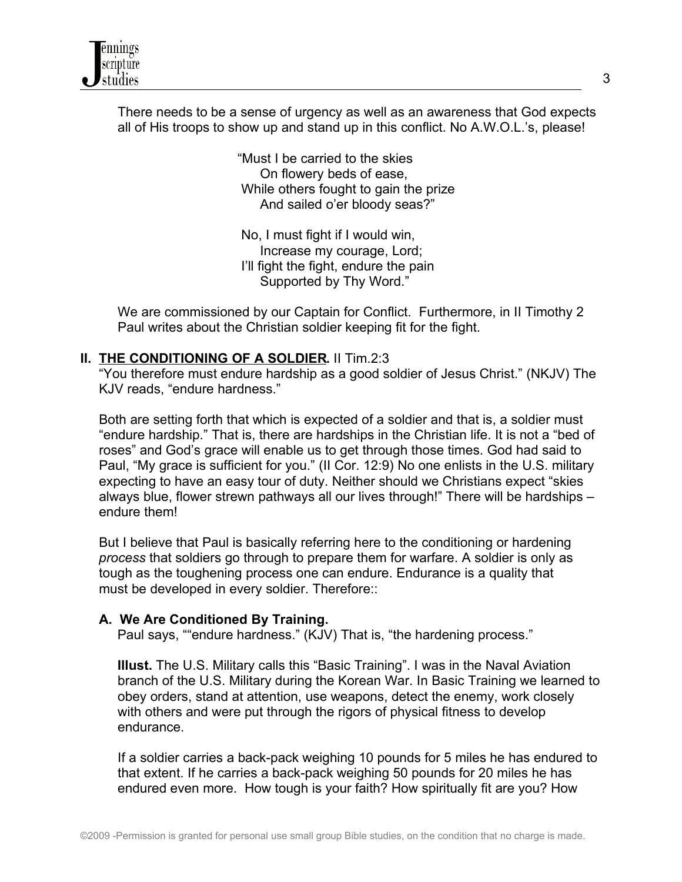

 There needs to be a sense of urgency as well as an awareness that God expects all of His troops to show up and stand up in this conflict. No A.W.O.L.'s, please!

> "Must I be carried to the skies On flowery beds of ease, While others fought to gain the prize And sailed o'er bloody seas?"

 No, I must fight if I would win, Increase my courage, Lord; I'll fight the fight, endure the pain Supported by Thy Word."

 We are commissioned by our Captain for Conflict. Furthermore, in II Timothy 2 Paul writes about the Christian soldier keeping fit for the fight.

# **II. THE CONDITIONING OF A SOLDIER.** II Tim.2:3

 "You therefore must endure hardship as a good soldier of Jesus Christ." (NKJV) The KJV reads, "endure hardness."

 Both are setting forth that which is expected of a soldier and that is, a soldier must "endure hardship." That is, there are hardships in the Christian life. It is not a "bed of roses" and God's grace will enable us to get through those times. God had said to Paul, "My grace is sufficient for you." (II Cor. 12:9) No one enlists in the U.S. military expecting to have an easy tour of duty. Neither should we Christians expect "skies always blue, flower strewn pathways all our lives through!" There will be hardships – endure them!

 But I believe that Paul is basically referring here to the conditioning or hardening *process* that soldiers go through to prepare them for warfare. A soldier is only as tough as the toughening process one can endure. Endurance is a quality that must be developed in every soldier. Therefore::

### **A. We Are Conditioned By Training.**

Paul says, ""endure hardness." (KJV) That is, "the hardening process."

 **Illust.** The U.S. Military calls this "Basic Training". I was in the Naval Aviation branch of the U.S. Military during the Korean War. In Basic Training we learned to obey orders, stand at attention, use weapons, detect the enemy, work closely with others and were put through the rigors of physical fitness to develop endurance.

 If a soldier carries a back-pack weighing 10 pounds for 5 miles he has endured to that extent. If he carries a back-pack weighing 50 pounds for 20 miles he has endured even more. How tough is your faith? How spiritually fit are you? How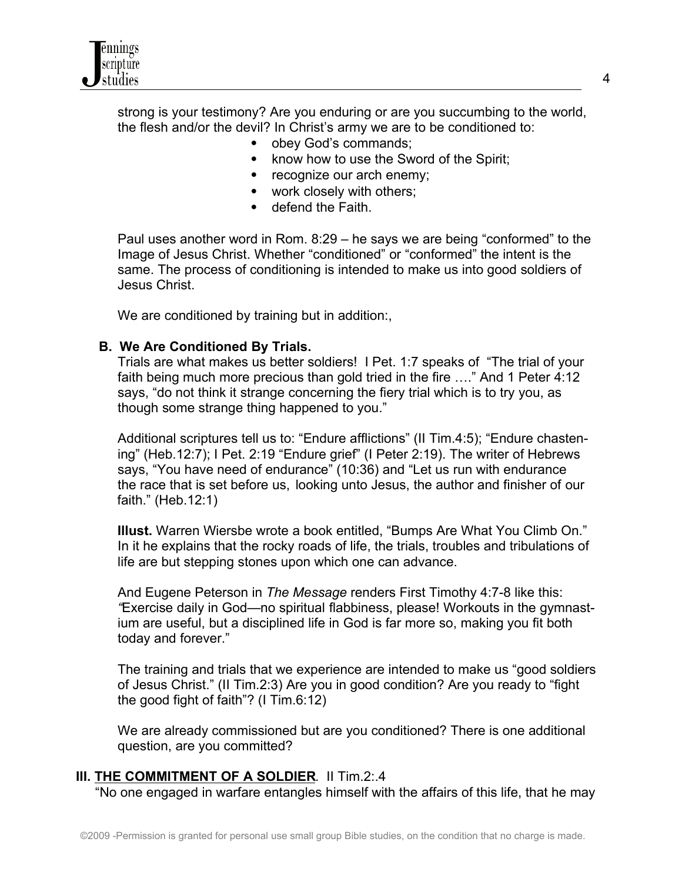

 strong is your testimony? Are you enduring or are you succumbing to the world, the flesh and/or the devil? In Christ's army we are to be conditioned to:

- obey God's commands:
- know how to use the Sword of the Spirit;
- recognize our arch enemy;
- work closely with others;
- defend the Faith.

 Paul uses another word in Rom. 8:29 – he says we are being "conformed" to the Image of Jesus Christ. Whether "conditioned" or "conformed" the intent is the same. The process of conditioning is intended to make us into good soldiers of Jesus Christ.

We are conditioned by training but in addition:,

#### **B. We Are Conditioned By Trials.**

 Trials are what makes us better soldiers! I Pet. 1:7 speaks of "The trial of your faith being much more precious than gold tried in the fire …." And 1 Peter 4:12 says, "do not think it strange concerning the fiery trial which is to try you, as though some strange thing happened to you."

 Additional scriptures tell us to: "Endure afflictions" (II Tim.4:5); "Endure chasten ing" (Heb.12:7); I Pet. 2:19 "Endure grief" (I Peter 2:19). The writer of Hebrews says, "You have need of endurance" (10:36) and "Let us run with endurance the race that is set before us, looking unto Jesus, the author and finisher of our faith." (Heb.12:1)

 **Illust.** Warren Wiersbe wrote a book entitled, "Bumps Are What You Climb On." In it he explains that the rocky roads of life, the trials, troubles and tribulations of life are but stepping stones upon which one can advance.

 And Eugene Peterson in *The Message* renders First Timothy 4:7-8 like this:  *"*Exercise daily in God—no spiritual flabbiness, please! Workouts in the gymnast ium are useful, but a disciplined life in God is far more so, making you fit both today and forever."

 The training and trials that we experience are intended to make us "good soldiers of Jesus Christ." (II Tim.2:3) Are you in good condition? Are you ready to "fight the good fight of faith"? (I Tim.6:12)

 We are already commissioned but are you conditioned? There is one additional question, are you committed?

### **III. THE COMMITMENT OF A SOLDIER**. II Tim.2:.4

"No one engaged in warfare entangles himself with the affairs of this life, that he may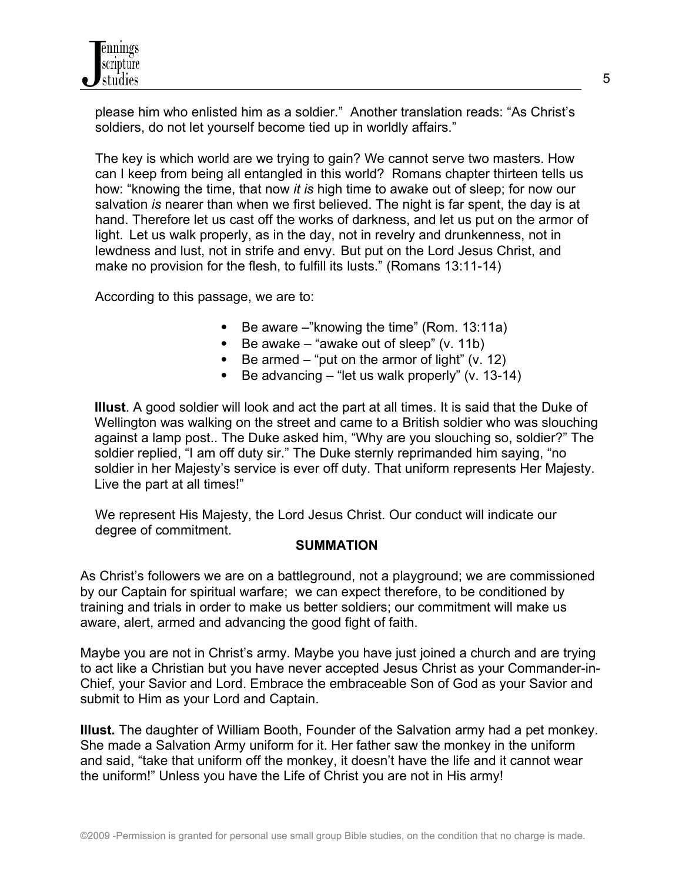

 please him who enlisted him as a soldier." Another translation reads: "As Christ's soldiers, do not let yourself become tied up in worldly affairs."

 The key is which world are we trying to gain? We cannot serve two masters. How can I keep from being all entangled in this world? Romans chapter thirteen tells us how: "knowing the time, that now *it is* high time to awake out of sleep; for now our salvation *is* nearer than when we first believed. The night is far spent, the day is at hand. Therefore let us cast off the works of darkness, and let us put on the armor of light. Let us walk properly, as in the day, not in revelry and drunkenness, not in lewdness and lust, not in strife and envy. But put on the Lord Jesus Christ, and make no provision for the flesh, to fulfill its lusts." (Romans 13:11-14)

According to this passage, we are to:

- $\bullet$  Be aware –"knowing the time" (Rom. 13:11a)
- $\bullet$  Be awake "awake out of sleep" (v. 11b)
- $\bullet$  Be armed "put on the armor of light" (v. 12)
- Be advancing  $-$  "let us walk properly" (v. 13-14)

 **Illust**. A good soldier will look and act the part at all times. It is said that the Duke of Wellington was walking on the street and came to a British soldier who was slouching against a lamp post.. The Duke asked him, "Why are you slouching so, soldier?" The soldier replied, "I am off duty sir." The Duke sternly reprimanded him saying, "no soldier in her Majesty's service is ever off duty. That uniform represents Her Majesty. Live the part at all times!"

 We represent His Majesty, the Lord Jesus Christ. Our conduct will indicate our degree of commitment.

### **SUMMATION**

As Christ's followers we are on a battleground, not a playground; we are commissioned by our Captain for spiritual warfare; we can expect therefore, to be conditioned by training and trials in order to make us better soldiers; our commitment will make us aware, alert, armed and advancing the good fight of faith.

Maybe you are not in Christ's army. Maybe you have just joined a church and are trying to act like a Christian but you have never accepted Jesus Christ as your Commander-in-Chief, your Savior and Lord. Embrace the embraceable Son of God as your Savior and submit to Him as your Lord and Captain.

**Illust.** The daughter of William Booth, Founder of the Salvation army had a pet monkey. She made a Salvation Army uniform for it. Her father saw the monkey in the uniform and said, "take that uniform off the monkey, it doesn't have the life and it cannot wear the uniform!" Unless you have the Life of Christ you are not in His army!